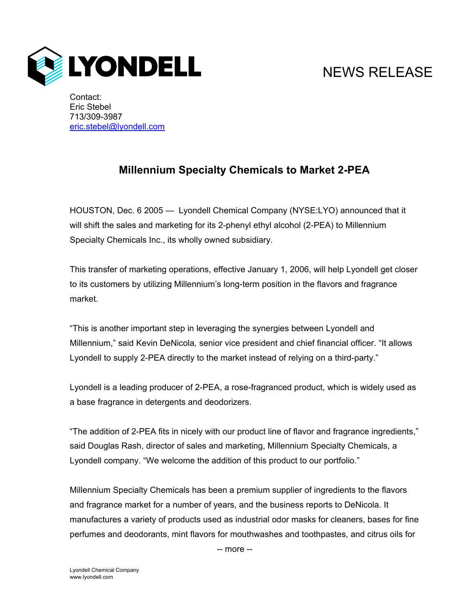

## NEWS RELEASE

Contact: Eric Stebel 713/309-3987 eric.stebel@lyondell.com

## **Millennium Specialty Chemicals to Market 2-PEA**

HOUSTON, Dec. 6 2005 — Lyondell Chemical Company (NYSE:LYO) announced that it will shift the sales and marketing for its 2-phenyl ethyl alcohol (2-PEA) to Millennium Specialty Chemicals Inc., its wholly owned subsidiary.

This transfer of marketing operations, effective January 1, 2006, will help Lyondell get closer to its customers by utilizing Millennium's long-term position in the flavors and fragrance market.

"This is another important step in leveraging the synergies between Lyondell and Millennium," said Kevin DeNicola*,* senior vice president and chief financial officer. "It allows Lyondell to supply 2-PEA directly to the market instead of relying on a third-party."

Lyondell is a leading producer of 2-PEA, a rose-fragranced product, which is widely used as a base fragrance in detergents and deodorizers.

"The addition of 2-PEA fits in nicely with our product line of flavor and fragrance ingredients," said Douglas Rash, director of sales and marketing, Millennium Specialty Chemicals, a Lyondell company. "We welcome the addition of this product to our portfolio."

Millennium Specialty Chemicals has been a premium supplier of ingredients to the flavors and fragrance market for a number of years, and the business reports to DeNicola. It manufactures a variety of products used as industrial odor masks for cleaners, bases for fine perfumes and deodorants, mint flavors for mouthwashes and toothpastes, and citrus oils for

-- more --